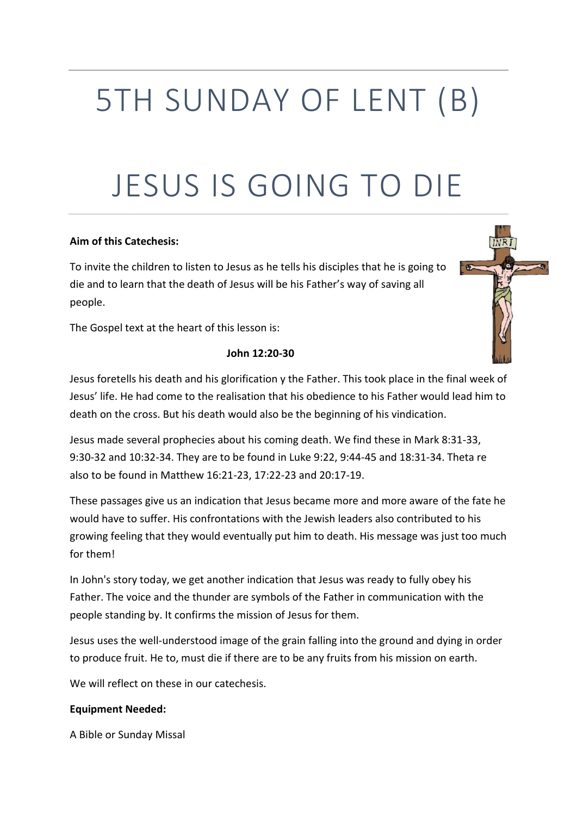# 5TH SUNDAY OF LENT (B)

# JESUS IS GOING TO DIE

#### **Aim of this Catechesis:**

To invite the children to listen to Jesus as he tells his disciples that he is going to die and to learn that the death of Jesus will be his Father's way of saving all people.

The Gospel text at the heart of this lesson is:

#### **John 12:20-30**

i to

Jesus foretells his death and his glorification y the Father. This took place in the final week of Jesus' life. He had come to the realisation that his obedience to his Father would lead him to death on the cross. But his death would also be the beginning of his vindication.

Jesus made several prophecies about his coming death. We find these in Mark 8:31-33, 9:30-32 and 10:32-34. They are to be found in Luke 9:22, 9:44-45 and 18:31-34. Theta re also to be found in Matthew 16:21-23, 17:22-23 and 20:17-19.

These passages give us an indication that Jesus became more and more aware of the fate he would have to suffer. His confrontations with the Jewish leaders also contributed to his growing feeling that they would eventually put him to death. His message was just too much for them!

In John's story today, we get another indication that Jesus was ready to fully obey his Father. The voice and the thunder are symbols of the Father in communication with the people standing by. It confirms the mission of Jesus for them.

Jesus uses the well-understood image of the grain falling into the ground and dying in order to produce fruit. He to, must die if there are to be any fruits from his mission on earth.

We will reflect on these in our catechesis.

#### **Equipment Needed:**

A Bible or Sunday Missal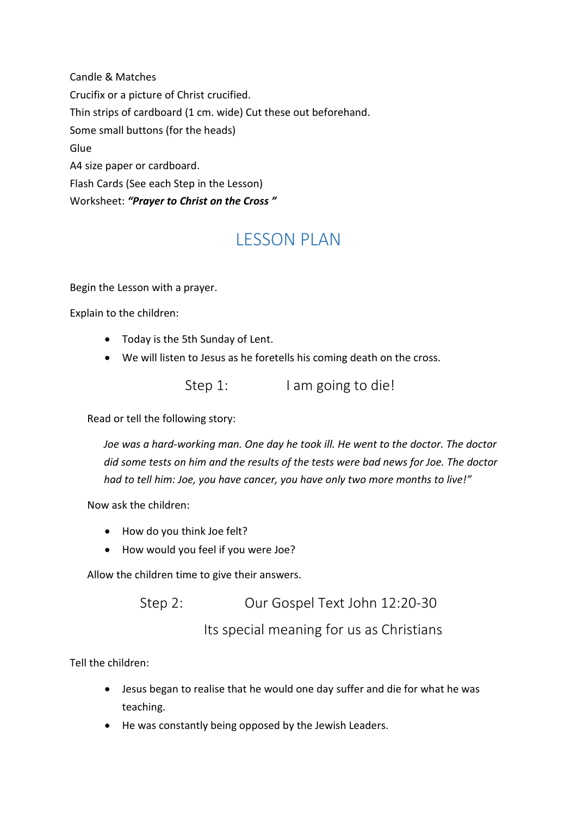Candle & Matches Crucifix or a picture of Christ crucified. Thin strips of cardboard (1 cm. wide) Cut these out beforehand. Some small buttons (for the heads) Glue A4 size paper or cardboard. Flash Cards (See each Step in the Lesson) Worksheet: *"Prayer to Christ on the Cross "*

# LESSON PLAN

Begin the Lesson with a prayer.

Explain to the children:

- Today is the 5th Sunday of Lent.
- We will listen to Jesus as he foretells his coming death on the cross.

Step 1: I am going to die!

Read or tell the following story:

*Joe was a hard-working man. One day he took ill. He went to the doctor. The doctor did some tests on him and the results of the tests were bad news for Joe. The doctor had to tell him: Joe, you have cancer, you have only two more months to live!"*

Now ask the children:

- How do you think Joe felt?
- How would you feel if you were Joe?

Allow the children time to give their answers.

Step 2: Our Gospel Text John 12:20-30

Its special meaning for us as Christians

Tell the children:

- Jesus began to realise that he would one day suffer and die for what he was teaching.
- He was constantly being opposed by the Jewish Leaders.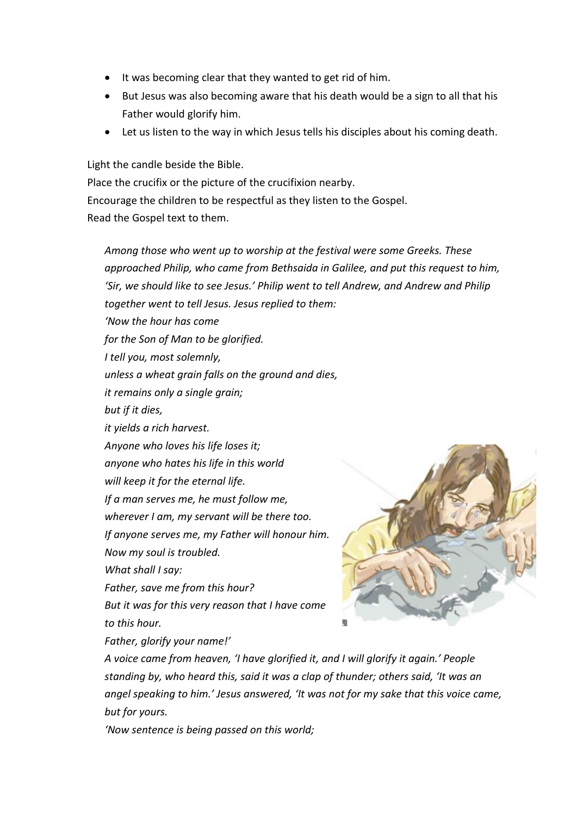- It was becoming clear that they wanted to get rid of him.
- But Jesus was also becoming aware that his death would be a sign to all that his Father would glorify him.
- Let us listen to the way in which Jesus tells his disciples about his coming death.

Light the candle beside the Bible. Place the crucifix or the picture of the crucifixion nearby. Encourage the children to be respectful as they listen to the Gospel. Read the Gospel text to them.

*Among those who went up to worship at the festival were some Greeks. These approached Philip, who came from Bethsaida in Galilee, and put this request to him, 'Sir, we should like to see Jesus.' Philip went to tell Andrew, and Andrew and Philip together went to tell Jesus. Jesus replied to them: 'Now the hour has come for the Son of Man to be glorified. I tell you, most solemnly, unless a wheat grain falls on the ground and dies, it remains only a single grain; but if it dies, it yields a rich harvest. Anyone who loves his life loses it; anyone who hates his life in this world will keep it for the eternal life. If a man serves me, he must follow me, wherever I am, my servant will be there too. If anyone serves me, my Father will honour him. Now my soul is troubled. What shall I say: Father, save me from this hour? But it was for this very reason that I have come to this hour. Father, glorify your name!'*

*A voice came from heaven, 'I have glorified it, and I will glorify it again.' People standing by, who heard this, said it was a clap of thunder; others said, 'It was an angel speaking to him.' Jesus answered, 'It was not for my sake that this voice came, but for yours.*

*'Now sentence is being passed on this world;*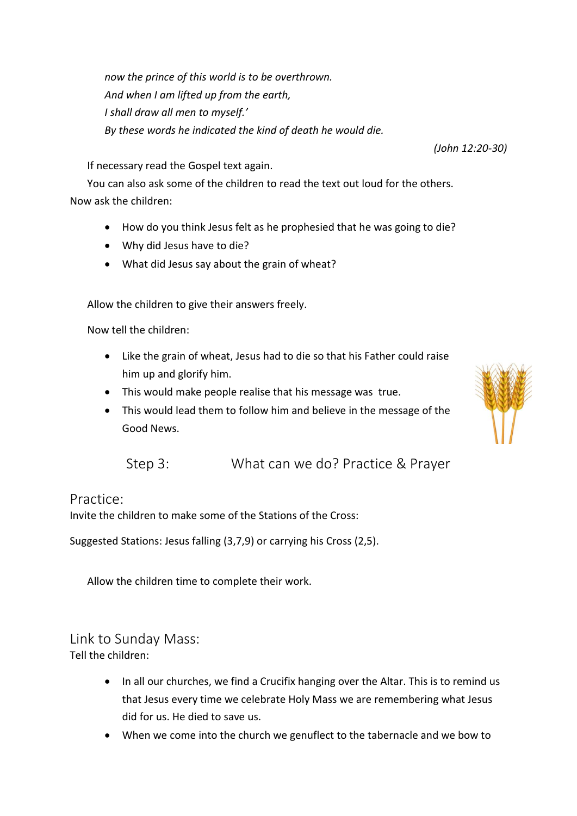*now the prince of this world is to be overthrown. And when I am lifted up from the earth, I shall draw all men to myself.' By these words he indicated the kind of death he would die.*

If necessary read the Gospel text again.

You can also ask some of the children to read the text out loud for the others. Now ask the children:

- How do you think Jesus felt as he prophesied that he was going to die?
- Why did Jesus have to die?
- What did Jesus say about the grain of wheat?

Allow the children to give their answers freely.

Now tell the children:

- Like the grain of wheat, Jesus had to die so that his Father could raise him up and glorify him.
- This would make people realise that his message was true.
- This would lead them to follow him and believe in the message of the Good News.



### Practice:

Invite the children to make some of the Stations of the Cross:

Suggested Stations: Jesus falling (3,7,9) or carrying his Cross (2,5).

Allow the children time to complete their work.

## Link to Sunday Mass:

Tell the children:

- In all our churches, we find a Crucifix hanging over the Altar. This is to remind us that Jesus every time we celebrate Holy Mass we are remembering what Jesus did for us. He died to save us.
- When we come into the church we genuflect to the tabernacle and we bow to



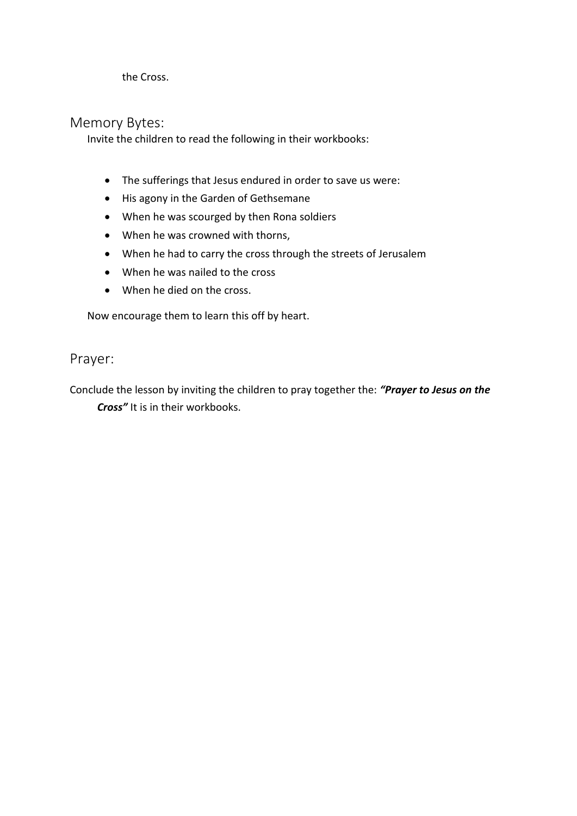the Cross.

#### Memory Bytes:

Invite the children to read the following in their workbooks:

- The sufferings that Jesus endured in order to save us were:
- His agony in the Garden of Gethsemane
- When he was scourged by then Rona soldiers
- When he was crowned with thorns,
- When he had to carry the cross through the streets of Jerusalem
- When he was nailed to the cross
- When he died on the cross.

Now encourage them to learn this off by heart.

### Prayer:

Conclude the lesson by inviting the children to pray together the: *"Prayer to Jesus on the Cross"* It is in their workbooks.